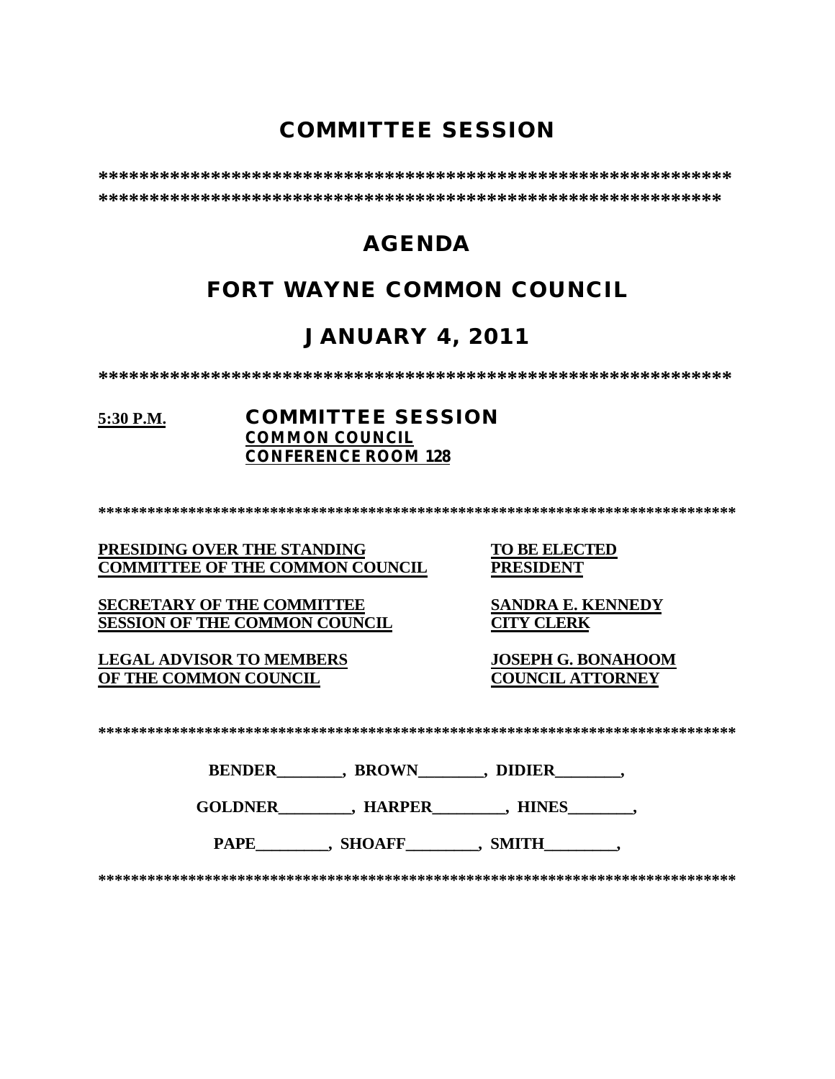# **COMMITTEE SESSION**

# **AGENDA**

# **FORT WAYNE COMMON COUNCIL**

# **JANUARY 4, 2011**

## 5:30 P.M.

## **COMMITTEE SESSION COMMON COUNCIL CONFERENCE ROOM 128**

PRESIDING OVER THE STANDING **COMMITTEE OF THE COMMON COUNCIL** 

**SECRETARY OF THE COMMITTEE SESSION OF THE COMMON COUNCIL** 

**LEGAL ADVISOR TO MEMBERS** OF THE COMMON COUNCIL

**TO BE ELECTED PRESIDENT** 

**SANDRA E. KENNEDY CITY CLERK** 

**JOSEPH G. BONAHOOM COUNCIL ATTORNEY** 

| <b>BENDER</b> | <b>BROWN</b> | <b>DIDIER</b> |  |
|---------------|--------------|---------------|--|
|               |              |               |  |

PAPE , SHOAFF , SMITH ,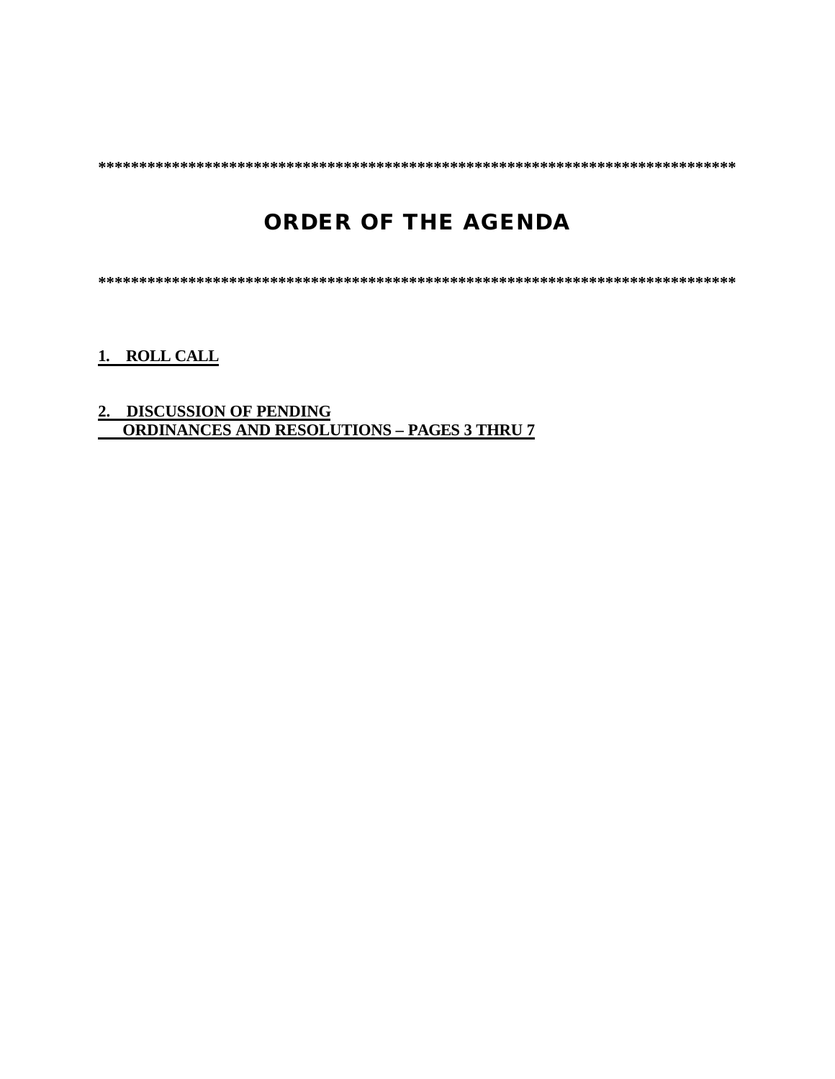# **ORDER OF THE AGENDA**

1. ROLL CALL

# 2. DISCUSSION OF PENDING<br>ORDINANCES AND RESOLUTIONS - PAGES 3 THRU 7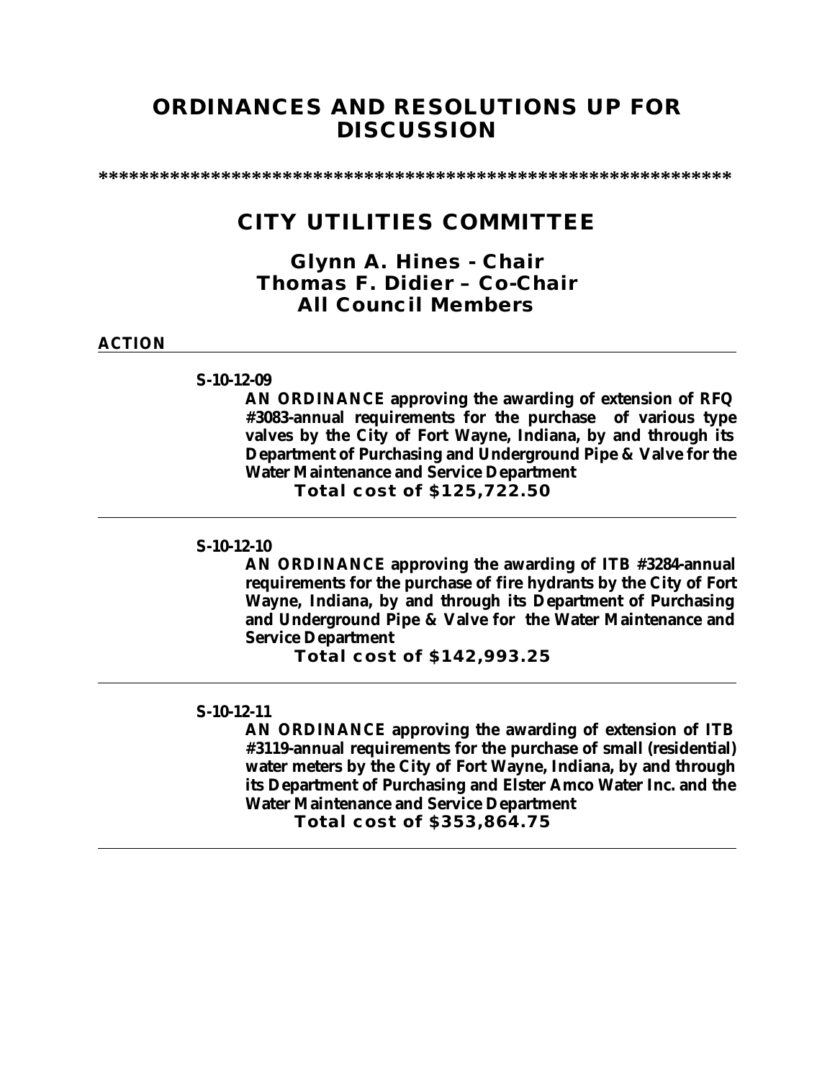# **ORDINANCES AND RESOLUTIONS UP FOR DISCUSSION**

**\*\*\*\*\*\*\*\*\*\*\*\*\*\*\*\*\*\*\*\*\*\*\*\*\*\*\*\*\*\*\*\*\*\*\*\*\*\*\*\*\*\*\*\*\*\*\*\*\*\*\*\*\*\*\*\*\*\*\*\*\*\***

# **CITY UTILITIES COMMITTEE**

*Glynn A. Hines - Chair Thomas F. Didier – Co-Chair All Council Members*

#### **ACTION**

#### **S-10-12-09**

**AN ORDINANCE approving the awarding of extension of RFQ #3083-annual requirements for the purchase of various type valves by the City of Fort Wayne, Indiana, by and through its Department of Purchasing and Underground Pipe & Valve for the Water Maintenance and Service Department**

**Total cost of \$125,722.50**

#### **S-10-12-10**

**AN ORDINANCE approving the awarding of ITB #3284-annual requirements for the purchase of fire hydrants by the City of Fort Wayne, Indiana, by and through its Department of Purchasing and Underground Pipe & Valve for the Water Maintenance and Service Department**

**Total cost of \$142,993.25**

#### **S-10-12-11**

**AN ORDINANCE approving the awarding of extension of ITB #3119-annual requirements for the purchase of small (residential) water meters by the City of Fort Wayne, Indiana, by and through its Department of Purchasing and Elster Amco Water Inc. and the Water Maintenance and Service Department**

**Total cost of \$353,864.75**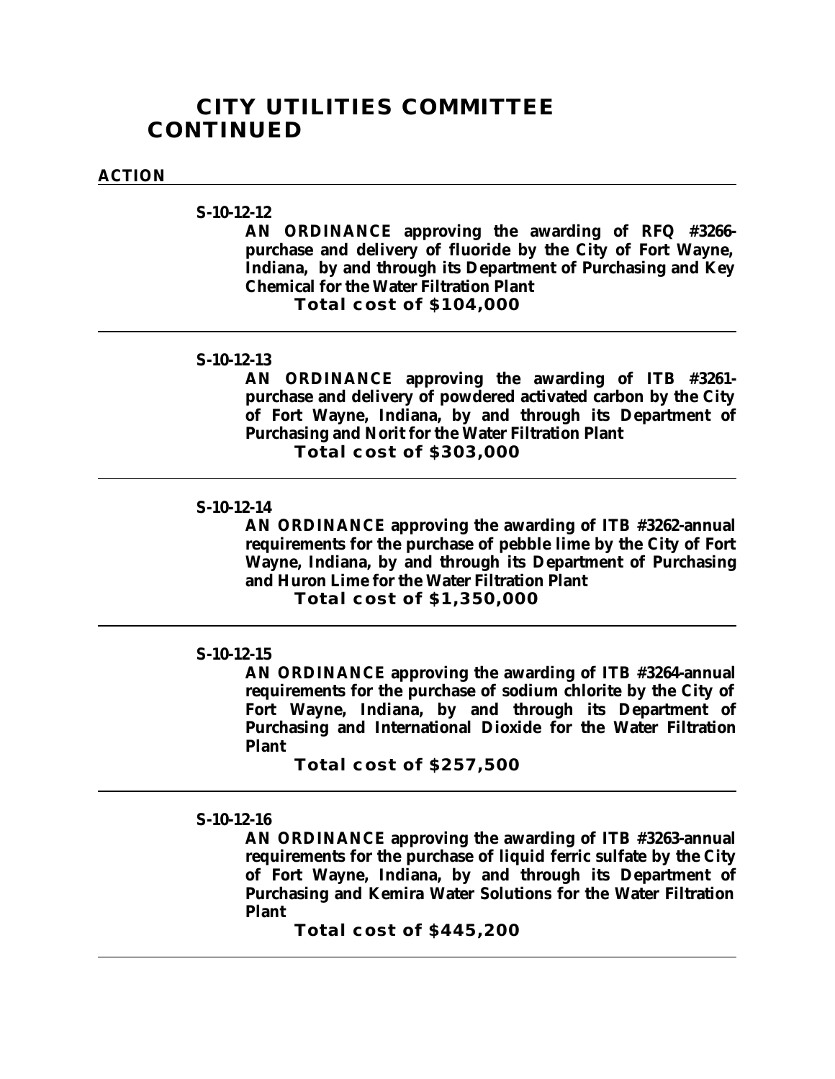## **CITY UTILITIES COMMITTEE CONTINUED**

#### **ACTION**

## **S-10-12-12**

**AN ORDINANCE approving the awarding of RFQ #3266 purchase and delivery of fluoride by the City of Fort Wayne, Indiana, by and through its Department of Purchasing and Key Chemical for the Water Filtration Plant**

**Total cost of \$104,000**

## **S-10-12-13**

**AN ORDINANCE approving the awarding of ITB #3261 purchase and delivery of powdered activated carbon by the City of Fort Wayne, Indiana, by and through its Department of Purchasing and Norit for the Water Filtration Plant**

**Total cost of \$303,000**

#### **S-10-12-14**

**AN ORDINANCE approving the awarding of ITB #3262-annual requirements for the purchase of pebble lime by the City of Fort Wayne, Indiana, by and through its Department of Purchasing and Huron Lime for the Water Filtration Plant Total cost of \$1,350,000**

#### **S-10-12-15**

**AN ORDINANCE approving the awarding of ITB #3264-annual requirements for the purchase of sodium chlorite by the City of Fort Wayne, Indiana, by and through its Department of Purchasing and International Dioxide for the Water Filtration Plant**

**Total cost of \$257,500**

#### **S-10-12-16**

**AN ORDINANCE approving the awarding of ITB #3263-annual requirements for the purchase of liquid ferric sulfate by the City of Fort Wayne, Indiana, by and through its Department of Purchasing and Kemira Water Solutions for the Water Filtration Plant**

**Total cost of \$445,200**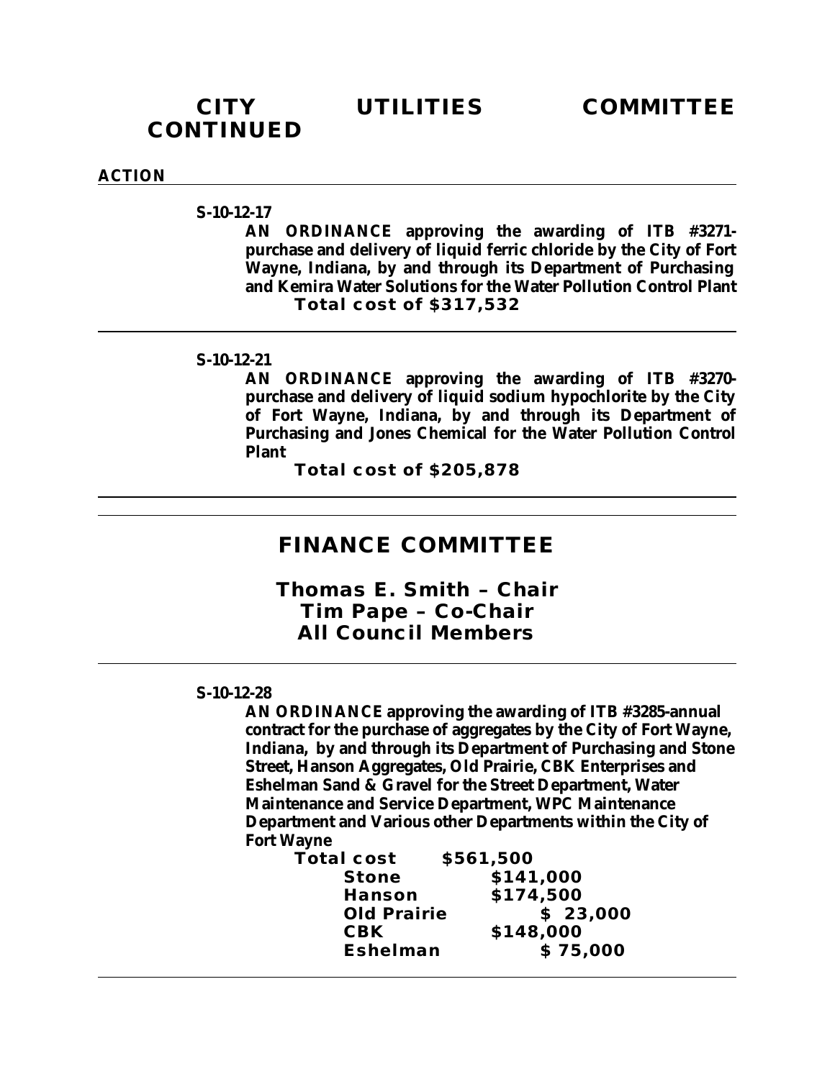# **CONTINUED**

#### **ACTION**

**S-10-12-17**

**AN ORDINANCE approving the awarding of ITB #3271 purchase and delivery of liquid ferric chloride by the City of Fort Wayne, Indiana, by and through its Department of Purchasing and Kemira Water Solutions for the Water Pollution Control Plant Total cost of \$317,532**

#### **S-10-12-21**

**AN ORDINANCE approving the awarding of ITB #3270 purchase and delivery of liquid sodium hypochlorite by the City of Fort Wayne, Indiana, by and through its Department of Purchasing and Jones Chemical for the Water Pollution Control Plant**

**Total cost of \$205,878**

## **FINANCE COMMITTEE**

*Thomas E. Smith – Chair Tim Pape – Co-Chair All Council Members*

#### **S-10-12-28**

**AN ORDINANCE approving the awarding of ITB #3285-annual contract for the purchase of aggregates by the City of Fort Wayne, Indiana, by and through its Department of Purchasing and Stone Street, Hanson Aggregates, Old Prairie, CBK Enterprises and Eshelman Sand & Gravel for the Street Department, Water Maintenance and Service Department, WPC Maintenance Department and Various other Departments within the City of Fort Wayne**

**Total cost \$561,500 Stone \$141,000 Hanson \$174,500 Old Prairie \$ 23,000 CBK \$148,000 Eshelman \$ 75,000**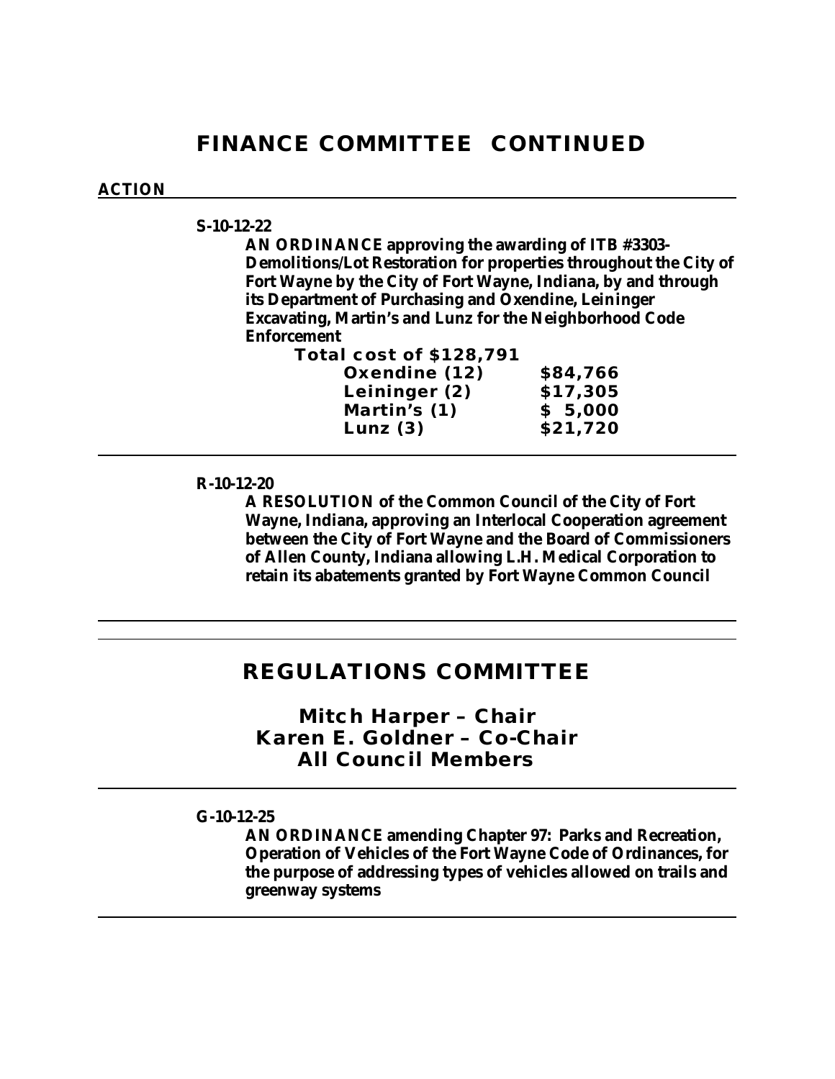# **FINANCE COMMITTEE CONTINUED**

#### **ACTION**

## **S-10-12-22**

**AN ORDINANCE approving the awarding of ITB #3303- Demolitions/Lot Restoration for properties throughout the City of Fort Wayne by the City of Fort Wayne, Indiana, by and through its Department of Purchasing and Oxendine, Leininger Excavating, Martin's and Lunz for the Neighborhood Code Enforcement** 

**Total cost of \$128,791**

| Oxendine (12) | \$84,766 |
|---------------|----------|
| Leininger (2) | \$17,305 |
| Martin's (1)  | \$5,000  |
| Lunz $(3)$    | \$21,720 |

#### **R-10-12-20**

**A RESOLUTION of the Common Council of the City of Fort Wayne, Indiana, approving an Interlocal Cooperation agreement between the City of Fort Wayne and the Board of Commissioners of Allen County, Indiana allowing L.H. Medical Corporation to retain its abatements granted by Fort Wayne Common Council**

## **REGULATIONS COMMITTEE**

*Mitch Harper – Chair Karen E. Goldner – Co-Chair All Council Members*

## **G-10-12-25**

**AN ORDINANCE amending Chapter 97: Parks and Recreation, Operation of Vehicles of the Fort Wayne Code of Ordinances, for the purpose of addressing types of vehicles allowed on trails and greenway systems**